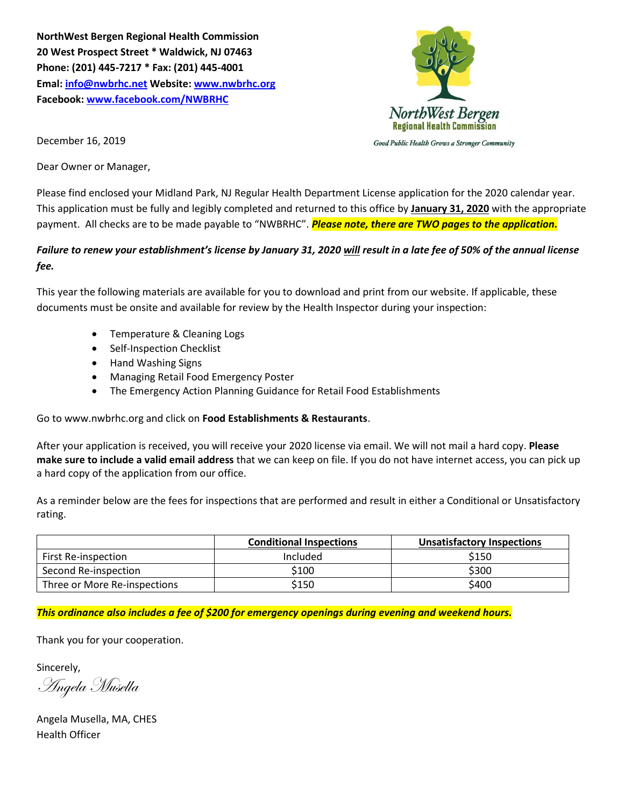**NorthWest Bergen Regional Health Commission 20 West Prospect Street \* Waldwick, NJ 07463 Phone: (201) 445-7217 \* Fax: (201) 445-4001 Emal: [info@nwbrhc.net](mailto:info@nwbrhc.net) Website: [www.nwbrhc.org](http://www.nwbrhc.org/) Facebook: [www.facebook.com/NWBRHC](http://www.facebook.com/NWBRHC)**



December 16, 2019

Dear Owner or Manager,

Please find enclosed your Midland Park, NJ Regular Health Department License application for the 2020 calendar year. This application must be fully and legibly completed and returned to this office by **January 31, 2020** with the appropriate payment. All checks are to be made payable to "NWBRHC". *Please note, there are TWO pages to the application.*

## *Failure to renew your establishment's license by January 31, 2020 will result in a late fee of 50% of the annual license fee.*

This year the following materials are available for you to download and print from our website. If applicable, these documents must be onsite and available for review by the Health Inspector during your inspection:

- Temperature & Cleaning Logs
- Self-Inspection Checklist
- Hand Washing Signs
- Managing Retail Food Emergency Poster
- The Emergency Action Planning Guidance for Retail Food Establishments

Go to www.nwbrhc.org and click on **Food Establishments & Restaurants**.

After your application is received, you will receive your 2020 license via email. We will not mail a hard copy. **Please make sure to include a valid email address** that we can keep on file. If you do not have internet access, you can pick up a hard copy of the application from our office.

As a reminder below are the fees for inspections that are performed and result in either a Conditional or Unsatisfactory rating.

|                              | <b>Conditional Inspections</b> | <b>Unsatisfactory Inspections</b> |  |
|------------------------------|--------------------------------|-----------------------------------|--|
| <b>First Re-inspection</b>   | Included                       | \$150                             |  |
| Second Re-inspection         | \$100                          | \$300                             |  |
| Three or More Re-inspections | \$150                          | \$400                             |  |

*This ordinance also includes a fee of \$200 for emergency openings during evening and weekend hours.*

Thank you for your cooperation.

Sincerely,

Angela Musella

Angela Musella, MA, CHES Health Officer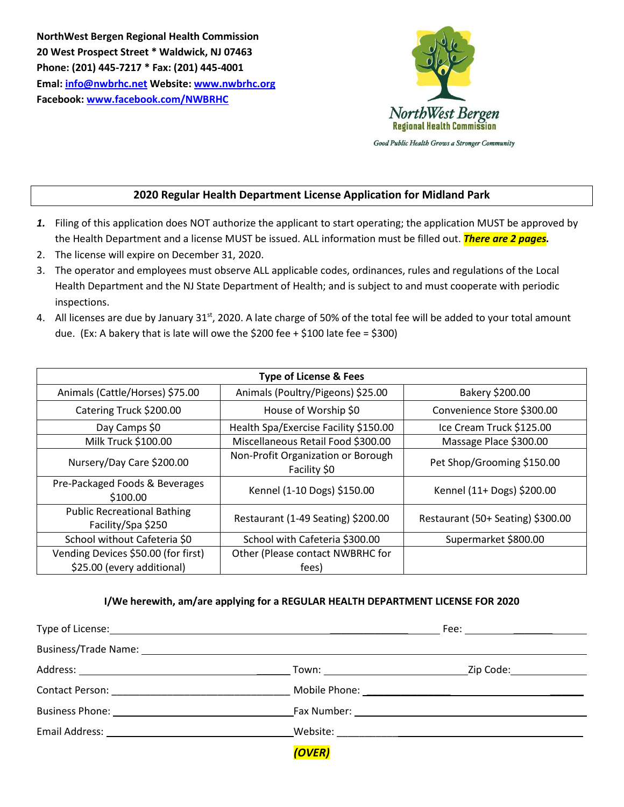**NorthWest Bergen Regional Health Commission 20 West Prospect Street \* Waldwick, NJ 07463 Phone: (201) 445-7217 \* Fax: (201) 445-4001 Emal: [info@nwbrhc.net](mailto:info@nwbrhc.net) Website: [www.nwbrhc.org](http://www.nwbrhc.org/) Facebook: [www.facebook.com/NWBRHC](http://www.facebook.com/NWBRHC)**



## **2020 Regular Health Department License Application for Midland Park**

- *1.* Filing of this application does NOT authorize the applicant to start operating; the application MUST be approved by the Health Department and a license MUST be issued. ALL information must be filled out. *There are 2 pages.*
- 2. The license will expire on December 31, 2020.
- 3. The operator and employees must observe ALL applicable codes, ordinances, rules and regulations of the Local Health Department and the NJ State Department of Health; and is subject to and must cooperate with periodic inspections.
- 4. All licenses are due by January  $31^{st}$ , 2020. A late charge of 50% of the total fee will be added to your total amount due. (Ex: A bakery that is late will owe the \$200 fee + \$100 late fee = \$300)

| <b>Type of License &amp; Fees</b>                        |                                                    |                                   |  |  |  |  |  |
|----------------------------------------------------------|----------------------------------------------------|-----------------------------------|--|--|--|--|--|
| Animals (Cattle/Horses) \$75.00                          | Animals (Poultry/Pigeons) \$25.00                  | Bakery \$200.00                   |  |  |  |  |  |
| Catering Truck \$200.00                                  | House of Worship \$0                               | Convenience Store \$300.00        |  |  |  |  |  |
| Day Camps \$0                                            | Health Spa/Exercise Facility \$150.00              | Ice Cream Truck \$125.00          |  |  |  |  |  |
| Milk Truck \$100.00                                      | Miscellaneous Retail Food \$300.00                 | Massage Place \$300.00            |  |  |  |  |  |
| Nursery/Day Care \$200.00                                | Non-Profit Organization or Borough<br>Facility \$0 | Pet Shop/Grooming \$150.00        |  |  |  |  |  |
| Pre-Packaged Foods & Beverages<br>\$100.00               | Kennel (1-10 Dogs) \$150.00                        | Kennel (11+ Dogs) \$200.00        |  |  |  |  |  |
| <b>Public Recreational Bathing</b><br>Facility/Spa \$250 | Restaurant (1-49 Seating) \$200.00                 | Restaurant (50+ Seating) \$300.00 |  |  |  |  |  |
| School without Cafeteria \$0                             | School with Cafeteria \$300.00                     | Supermarket \$800.00              |  |  |  |  |  |
| Vending Devices \$50.00 (for first)                      | Other (Please contact NWBRHC for                   |                                   |  |  |  |  |  |
| \$25.00 (every additional)                               | tees)                                              |                                   |  |  |  |  |  |

## **I/We herewith, am/are applying for a REGULAR HEALTH DEPARTMENT LICENSE FOR 2020**

| Type of License: Note and the set of the set of the set of the set of the set of the set of the set of the set of the set of the set of the set of the set of the set of the set of the set of the set of the set of the set o |                                                                                                                                                                                                                                |                                                                                       |  |
|--------------------------------------------------------------------------------------------------------------------------------------------------------------------------------------------------------------------------------|--------------------------------------------------------------------------------------------------------------------------------------------------------------------------------------------------------------------------------|---------------------------------------------------------------------------------------|--|
|                                                                                                                                                                                                                                |                                                                                                                                                                                                                                |                                                                                       |  |
|                                                                                                                                                                                                                                |                                                                                                                                                                                                                                |                                                                                       |  |
|                                                                                                                                                                                                                                |                                                                                                                                                                                                                                |                                                                                       |  |
|                                                                                                                                                                                                                                | Business Phone: National According Contract Contract Contract Contract Contract Contract Contract Contract Contract Contract Contract Contract Contract Contract Contract Contract Contract Contract Contract Contract Contrac |                                                                                       |  |
|                                                                                                                                                                                                                                |                                                                                                                                                                                                                                | Website: www.astronomia.com/www.astronomia.com/www.astronomia.com/www.astronomia.com/ |  |
|                                                                                                                                                                                                                                | (OVER)                                                                                                                                                                                                                         |                                                                                       |  |